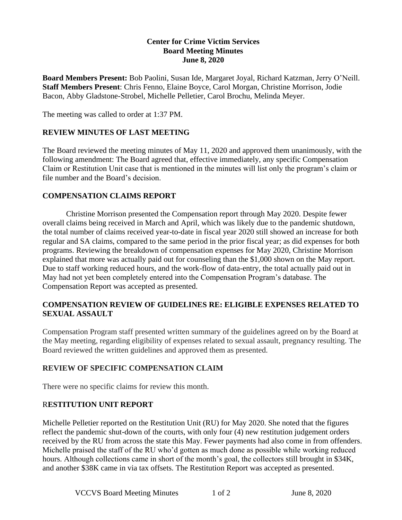## **Center for Crime Victim Services Board Meeting Minutes June 8, 2020**

**Board Members Present:** Bob Paolini, Susan Ide, Margaret Joyal, Richard Katzman, Jerry O'Neill. **Staff Members Present**: Chris Fenno, Elaine Boyce, Carol Morgan, Christine Morrison, Jodie Bacon, Abby Gladstone-Strobel, Michelle Pelletier, Carol Brochu, Melinda Meyer.

The meeting was called to order at 1:37 PM.

## **REVIEW MINUTES OF LAST MEETING**

The Board reviewed the meeting minutes of May 11, 2020 and approved them unanimously, with the following amendment: The Board agreed that, effective immediately, any specific Compensation Claim or Restitution Unit case that is mentioned in the minutes will list only the program's claim or file number and the Board's decision.

## **COMPENSATION CLAIMS REPORT**

Christine Morrison presented the Compensation report through May 2020. Despite fewer overall claims being received in March and April, which was likely due to the pandemic shutdown, the total number of claims received year-to-date in fiscal year 2020 still showed an increase for both regular and SA claims, compared to the same period in the prior fiscal year; as did expenses for both programs. Reviewing the breakdown of compensation expenses for May 2020, Christine Morrison explained that more was actually paid out for counseling than the \$1,000 shown on the May report. Due to staff working reduced hours, and the work-flow of data-entry, the total actually paid out in May had not yet been completely entered into the Compensation Program's database. The Compensation Report was accepted as presented.

## **COMPENSATION REVIEW OF GUIDELINES RE: ELIGIBLE EXPENSES RELATED TO SEXUAL ASSAULT**

Compensation Program staff presented written summary of the guidelines agreed on by the Board at the May meeting, regarding eligibility of expenses related to sexual assault, pregnancy resulting. The Board reviewed the written guidelines and approved them as presented.

# **REVIEW OF SPECIFIC COMPENSATION CLAIM**

There were no specific claims for review this month.

## R**ESTITUTION UNIT REPORT**

Michelle Pelletier reported on the Restitution Unit (RU) for May 2020. She noted that the figures reflect the pandemic shut-down of the courts, with only four (4) new restitution judgement orders received by the RU from across the state this May. Fewer payments had also come in from offenders. Michelle praised the staff of the RU who'd gotten as much done as possible while working reduced hours. Although collections came in short of the month's goal, the collectors still brought in \$34K, and another \$38K came in via tax offsets. The Restitution Report was accepted as presented.